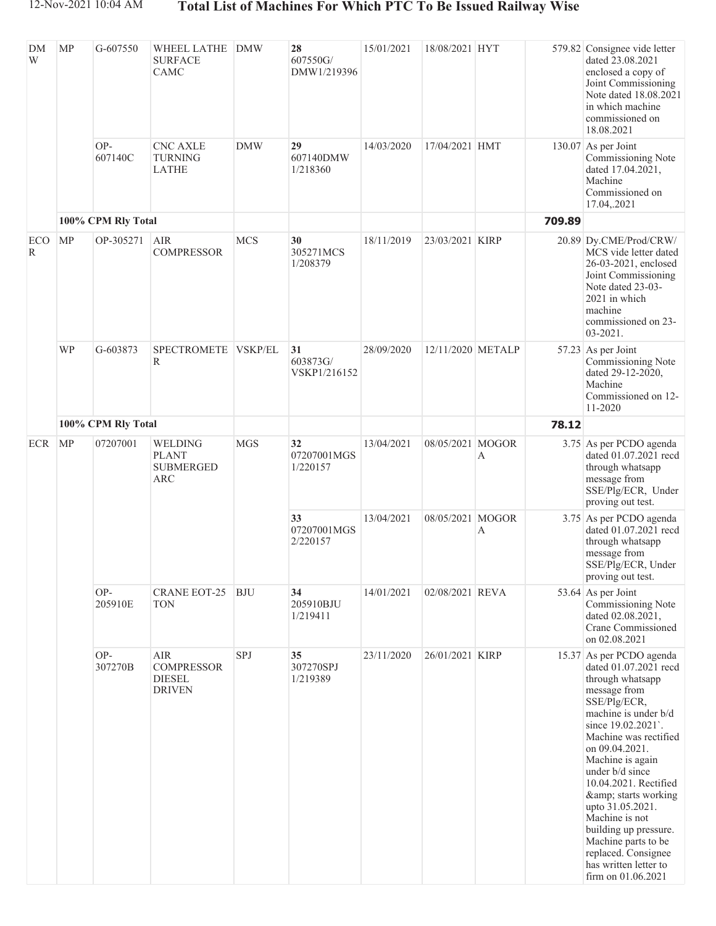| <b>DM</b><br>W | <b>MP</b>          | G-607550           | WHEEL LATHE<br><b>SURFACE</b><br>CAMC                             | <b>DMW</b> | 28<br>607550G/<br>DMW1/219396  | 15/01/2021 | 18/08/2021 HYT    |                  |        | 579.82 Consignee vide letter<br>dated 23.08.2021<br>enclosed a copy of<br>Joint Commissioning<br>Note dated 18.08.2021<br>in which machine<br>commissioned on<br>18.08.2021                                                                                                                                                                                                                                                                   |
|----------------|--------------------|--------------------|-------------------------------------------------------------------|------------|--------------------------------|------------|-------------------|------------------|--------|-----------------------------------------------------------------------------------------------------------------------------------------------------------------------------------------------------------------------------------------------------------------------------------------------------------------------------------------------------------------------------------------------------------------------------------------------|
|                |                    | OP-<br>607140C     | <b>CNC AXLE</b><br><b>TURNING</b><br><b>LATHE</b>                 | <b>DMW</b> | 29<br>607140DMW<br>1/218360    | 14/03/2020 | 17/04/2021 HMT    |                  |        | 130.07 As per Joint<br>Commissioning Note<br>dated 17.04.2021,<br>Machine<br>Commissioned on<br>17.04,.2021                                                                                                                                                                                                                                                                                                                                   |
|                | 100% CPM Rly Total |                    |                                                                   |            |                                |            |                   |                  | 709.89 |                                                                                                                                                                                                                                                                                                                                                                                                                                               |
| ECO<br>R       | <b>MP</b>          | OP-305271          | <b>AIR</b><br><b>COMPRESSOR</b>                                   | <b>MCS</b> | 30<br>305271MCS<br>1/208379    | 18/11/2019 | 23/03/2021 KIRP   |                  |        | 20.89 Dy.CME/Prod/CRW/<br>MCS vide letter dated<br>26-03-2021, enclosed<br>Joint Commissioning<br>Note dated 23-03-<br>2021 in which<br>machine<br>commissioned on 23-<br>03-2021.                                                                                                                                                                                                                                                            |
|                | <b>WP</b>          | G-603873           | SPECTROMETE VSKP/EL<br>R                                          |            | 31<br>603873G/<br>VSKP1/216152 | 28/09/2020 | 12/11/2020 METALP |                  |        | 57.23 As per Joint<br>Commissioning Note<br>dated 29-12-2020,<br>Machine<br>Commissioned on 12-<br>11-2020                                                                                                                                                                                                                                                                                                                                    |
|                |                    | 100% CPM Rly Total |                                                                   |            |                                |            |                   |                  | 78.12  |                                                                                                                                                                                                                                                                                                                                                                                                                                               |
| <b>ECR</b>     | MP                 | 07207001           | WELDING<br><b>PLANT</b><br><b>SUBMERGED</b><br><b>ARC</b>         | <b>MGS</b> | 32<br>07207001MGS<br>1/220157  | 13/04/2021 | 08/05/2021 MOGOR  | А                |        | 3.75 As per PCDO agenda<br>dated 01.07.2021 recd<br>through whatsapp<br>message from<br>SSE/Plg/ECR, Under<br>proving out test.                                                                                                                                                                                                                                                                                                               |
|                |                    |                    |                                                                   |            | 33<br>07207001MGS<br>2/220157  | 13/04/2021 | 08/05/2021 MOGOR  | $\boldsymbol{A}$ |        | 3.75 As per PCDO agenda<br>dated 01.07.2021 recd<br>through whatsapp<br>message from<br>SSE/Plg/ECR, Under<br>proving out test.                                                                                                                                                                                                                                                                                                               |
|                |                    | OP-<br>205910E     | <b>CRANE EOT-25</b><br><b>TON</b>                                 | <b>BJU</b> | 34<br>205910BJU<br>1/219411    | 14/01/2021 | 02/08/2021 REVA   |                  |        | 53.64 As per Joint<br>Commissioning Note<br>dated 02.08.2021,<br>Crane Commissioned<br>on 02.08.2021                                                                                                                                                                                                                                                                                                                                          |
|                |                    | OP-<br>307270B     | <b>AIR</b><br><b>COMPRESSOR</b><br><b>DIESEL</b><br><b>DRIVEN</b> | SPJ        | 35<br>307270SPJ<br>1/219389    | 23/11/2020 | 26/01/2021 KIRP   |                  |        | 15.37 As per PCDO agenda<br>dated 01.07.2021 recd<br>through whatsapp<br>message from<br>SSE/Plg/ECR,<br>machine is under b/d<br>since 19.02.2021.<br>Machine was rectified<br>on 09.04.2021.<br>Machine is again<br>under b/d since<br>10.04.2021. Rectified<br>& starts working<br>upto 31.05.2021.<br>Machine is not<br>building up pressure.<br>Machine parts to be<br>replaced. Consignee<br>has written letter to<br>firm on 01.06.2021 |